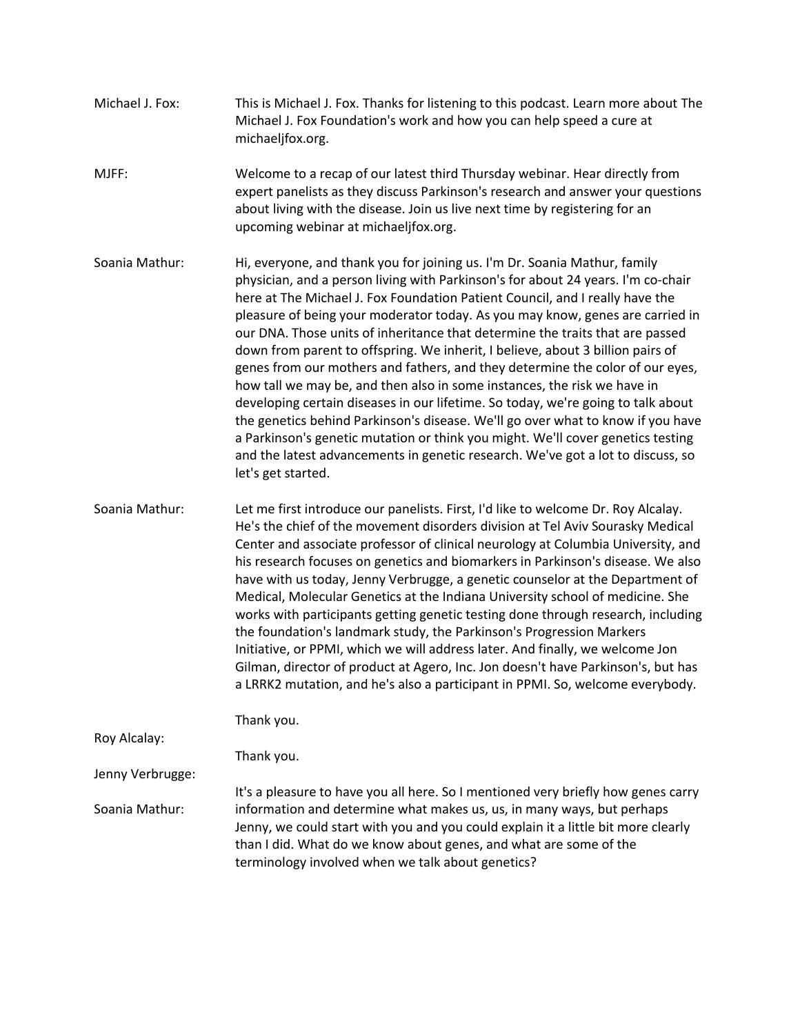- Michael J. Fox: This is Michael J. Fox. Thanks for listening to this podcast. Learn more about The Michael J. Fox Foundation's work and how you can help speed a cure at michaeljfox.org.
- MJFF: Welcome to a recap of our latest third Thursday webinar. Hear directly from expert panelists as they discuss Parkinson's research and answer your questions about living with the disease. Join us live next time by registering for an upcoming webinar at michaeljfox.org.
- Soania Mathur: Hi, everyone, and thank you for joining us. I'm Dr. Soania Mathur, family physician, and a person living with Parkinson's for about 24 years. I'm co-chair here at The Michael J. Fox Foundation Patient Council, and I really have the pleasure of being your moderator today. As you may know, genes are carried in our DNA. Those units of inheritance that determine the traits that are passed down from parent to offspring. We inherit, I believe, about 3 billion pairs of genes from our mothers and fathers, and they determine the color of our eyes, how tall we may be, and then also in some instances, the risk we have in developing certain diseases in our lifetime. So today, we're going to talk about the genetics behind Parkinson's disease. We'll go over what to know if you have a Parkinson's genetic mutation or think you might. We'll cover genetics testing and the latest advancements in genetic research. We've got a lot to discuss, so let's get started.
- Soania Mathur: Let me first introduce our panelists. First, I'd like to welcome Dr. Roy Alcalay. He's the chief of the movement disorders division at Tel Aviv Sourasky Medical Center and associate professor of clinical neurology at Columbia University, and his research focuses on genetics and biomarkers in Parkinson's disease. We also have with us today, Jenny Verbrugge, a genetic counselor at the Department of Medical, Molecular Genetics at the Indiana University school of medicine. She works with participants getting genetic testing done through research, including the foundation's landmark study, the Parkinson's Progression Markers Initiative, or PPMI, which we will address later. And finally, we welcome Jon Gilman, director of product at Agero, Inc. Jon doesn't have Parkinson's, but has a LRRK2 mutation, and he's also a participant in PPMI. So, welcome everybody.

Thank you.

Roy Alcalay:

Jenny Verbrugge:

Thank you.

Soania Mathur: It's a pleasure to have you all here. So I mentioned very briefly how genes carry information and determine what makes us, us, in many ways, but perhaps Jenny, we could start with you and you could explain it a little bit more clearly than I did. What do we know about genes, and what are some of the terminology involved when we talk about genetics?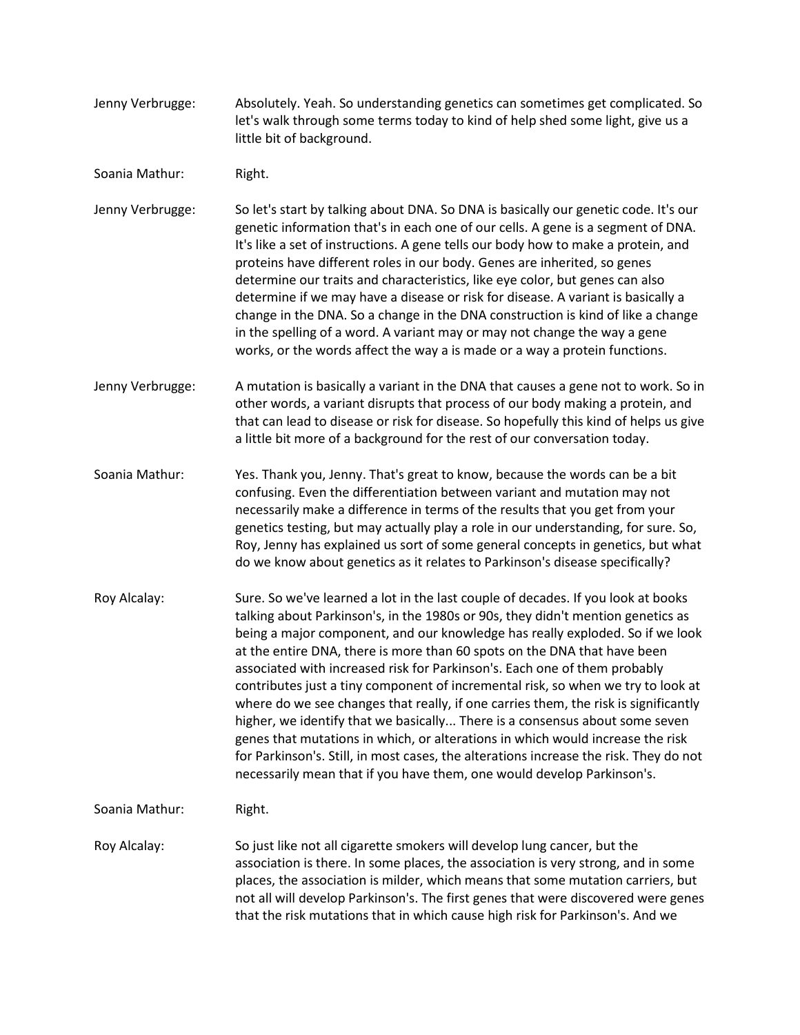- Jenny Verbrugge: Absolutely. Yeah. So understanding genetics can sometimes get complicated. So let's walk through some terms today to kind of help shed some light, give us a little bit of background.
- Soania Mathur: Right.

Jenny Verbrugge: So let's start by talking about DNA. So DNA is basically our genetic code. It's our genetic information that's in each one of our cells. A gene is a segment of DNA. It's like a set of instructions. A gene tells our body how to make a protein, and proteins have different roles in our body. Genes are inherited, so genes determine our traits and characteristics, like eye color, but genes can also determine if we may have a disease or risk for disease. A variant is basically a change in the DNA. So a change in the DNA construction is kind of like a change in the spelling of a word. A variant may or may not change the way a gene works, or the words affect the way a is made or a way a protein functions.

- Jenny Verbrugge: A mutation is basically a variant in the DNA that causes a gene not to work. So in other words, a variant disrupts that process of our body making a protein, and that can lead to disease or risk for disease. So hopefully this kind of helps us give a little bit more of a background for the rest of our conversation today.
- Soania Mathur: Yes. Thank you, Jenny. That's great to know, because the words can be a bit confusing. Even the differentiation between variant and mutation may not necessarily make a difference in terms of the results that you get from your genetics testing, but may actually play a role in our understanding, for sure. So, Roy, Jenny has explained us sort of some general concepts in genetics, but what do we know about genetics as it relates to Parkinson's disease specifically?
- Roy Alcalay: Sure. So we've learned a lot in the last couple of decades. If you look at books talking about Parkinson's, in the 1980s or 90s, they didn't mention genetics as being a major component, and our knowledge has really exploded. So if we look at the entire DNA, there is more than 60 spots on the DNA that have been associated with increased risk for Parkinson's. Each one of them probably contributes just a tiny component of incremental risk, so when we try to look at where do we see changes that really, if one carries them, the risk is significantly higher, we identify that we basically... There is a consensus about some seven genes that mutations in which, or alterations in which would increase the risk for Parkinson's. Still, in most cases, the alterations increase the risk. They do not necessarily mean that if you have them, one would develop Parkinson's.
- Soania Mathur: Right.
- Roy Alcalay: So just like not all cigarette smokers will develop lung cancer, but the association is there. In some places, the association is very strong, and in some places, the association is milder, which means that some mutation carriers, but not all will develop Parkinson's. The first genes that were discovered were genes that the risk mutations that in which cause high risk for Parkinson's. And we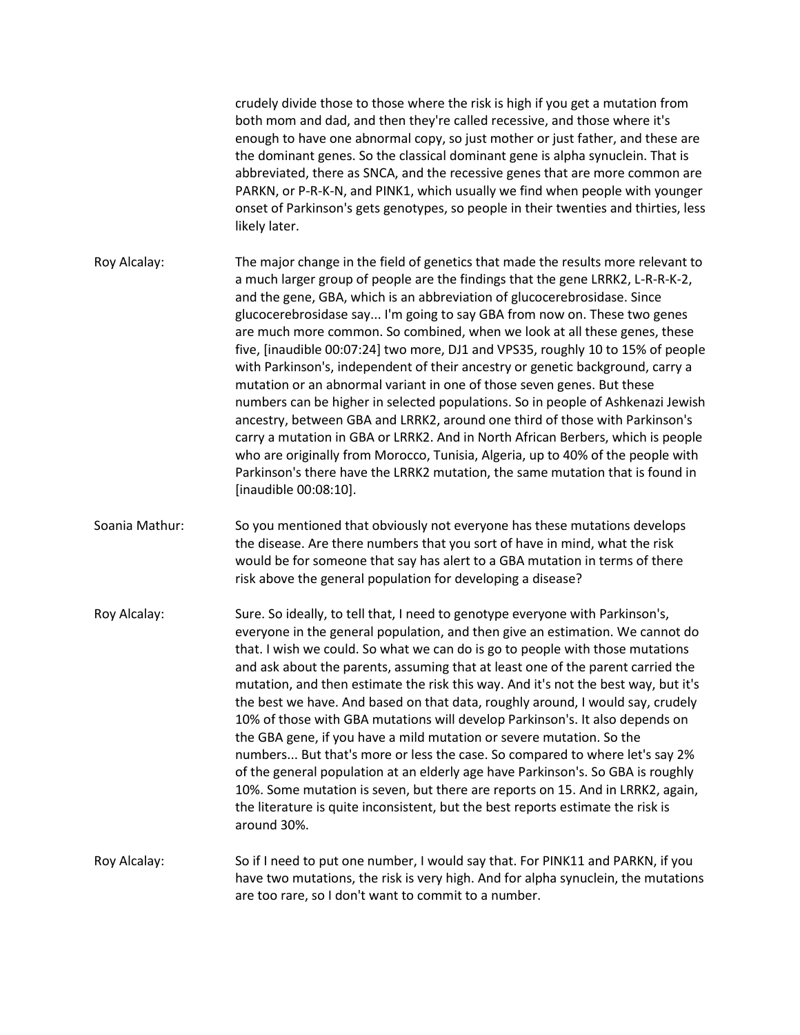crudely divide those to those where the risk is high if you get a mutation from both mom and dad, and then they're called recessive, and those where it's enough to have one abnormal copy, so just mother or just father, and these are the dominant genes. So the classical dominant gene is alpha synuclein. That is abbreviated, there as SNCA, and the recessive genes that are more common are PARKN, or P-R-K-N, and PINK1, which usually we find when people with younger onset of Parkinson's gets genotypes, so people in their twenties and thirties, less likely later.

Roy Alcalay: The major change in the field of genetics that made the results more relevant to a much larger group of people are the findings that the gene LRRK2, L-R-R-K-2, and the gene, GBA, which is an abbreviation of glucocerebrosidase. Since glucocerebrosidase say... I'm going to say GBA from now on. These two genes are much more common. So combined, when we look at all these genes, these five, [inaudible 00:07:24] two more, DJ1 and VPS35, roughly 10 to 15% of people with Parkinson's, independent of their ancestry or genetic background, carry a mutation or an abnormal variant in one of those seven genes. But these numbers can be higher in selected populations. So in people of Ashkenazi Jewish ancestry, between GBA and LRRK2, around one third of those with Parkinson's carry a mutation in GBA or LRRK2. And in North African Berbers, which is people who are originally from Morocco, Tunisia, Algeria, up to 40% of the people with Parkinson's there have the LRRK2 mutation, the same mutation that is found in [inaudible 00:08:10].

Soania Mathur: So you mentioned that obviously not everyone has these mutations develops the disease. Are there numbers that you sort of have in mind, what the risk would be for someone that say has alert to a GBA mutation in terms of there risk above the general population for developing a disease?

Roy Alcalay: Sure. So ideally, to tell that, I need to genotype everyone with Parkinson's, everyone in the general population, and then give an estimation. We cannot do that. I wish we could. So what we can do is go to people with those mutations and ask about the parents, assuming that at least one of the parent carried the mutation, and then estimate the risk this way. And it's not the best way, but it's the best we have. And based on that data, roughly around, I would say, crudely 10% of those with GBA mutations will develop Parkinson's. It also depends on the GBA gene, if you have a mild mutation or severe mutation. So the numbers... But that's more or less the case. So compared to where let's say 2% of the general population at an elderly age have Parkinson's. So GBA is roughly 10%. Some mutation is seven, but there are reports on 15. And in LRRK2, again, the literature is quite inconsistent, but the best reports estimate the risk is around 30%.

Roy Alcalay: So if I need to put one number, I would say that. For PINK11 and PARKN, if you have two mutations, the risk is very high. And for alpha synuclein, the mutations are too rare, so I don't want to commit to a number.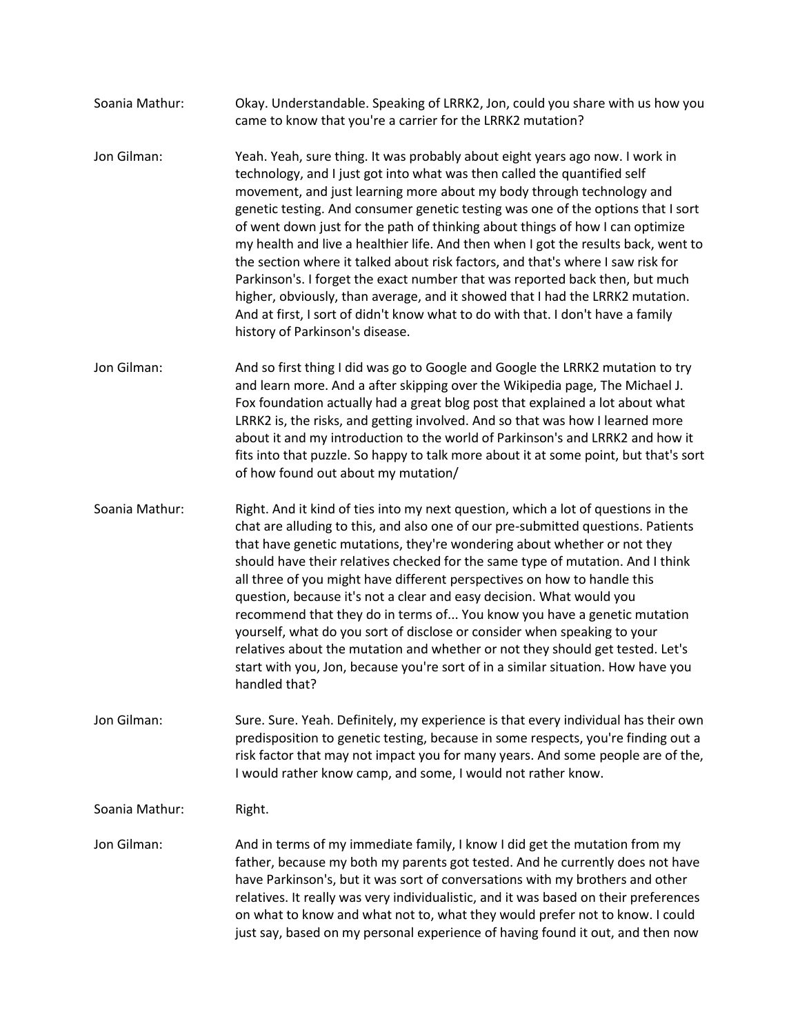- Soania Mathur: Okay. Understandable. Speaking of LRRK2, Jon, could you share with us how you came to know that you're a carrier for the LRRK2 mutation?
- Jon Gilman: Yeah. Yeah, sure thing. It was probably about eight years ago now. I work in technology, and I just got into what was then called the quantified self movement, and just learning more about my body through technology and genetic testing. And consumer genetic testing was one of the options that I sort of went down just for the path of thinking about things of how I can optimize my health and live a healthier life. And then when I got the results back, went to the section where it talked about risk factors, and that's where I saw risk for Parkinson's. I forget the exact number that was reported back then, but much higher, obviously, than average, and it showed that I had the LRRK2 mutation. And at first, I sort of didn't know what to do with that. I don't have a family history of Parkinson's disease.
- Jon Gilman: And so first thing I did was go to Google and Google the LRRK2 mutation to try and learn more. And a after skipping over the Wikipedia page, The Michael J. Fox foundation actually had a great blog post that explained a lot about what LRRK2 is, the risks, and getting involved. And so that was how I learned more about it and my introduction to the world of Parkinson's and LRRK2 and how it fits into that puzzle. So happy to talk more about it at some point, but that's sort of how found out about my mutation/
- Soania Mathur: Right. And it kind of ties into my next question, which a lot of questions in the chat are alluding to this, and also one of our pre-submitted questions. Patients that have genetic mutations, they're wondering about whether or not they should have their relatives checked for the same type of mutation. And I think all three of you might have different perspectives on how to handle this question, because it's not a clear and easy decision. What would you recommend that they do in terms of... You know you have a genetic mutation yourself, what do you sort of disclose or consider when speaking to your relatives about the mutation and whether or not they should get tested. Let's start with you, Jon, because you're sort of in a similar situation. How have you handled that?
- Jon Gilman: Sure. Sure. Yeah. Definitely, my experience is that every individual has their own predisposition to genetic testing, because in some respects, you're finding out a risk factor that may not impact you for many years. And some people are of the, I would rather know camp, and some, I would not rather know.
- Soania Mathur: Right.
- Jon Gilman: And in terms of my immediate family, I know I did get the mutation from my father, because my both my parents got tested. And he currently does not have have Parkinson's, but it was sort of conversations with my brothers and other relatives. It really was very individualistic, and it was based on their preferences on what to know and what not to, what they would prefer not to know. I could just say, based on my personal experience of having found it out, and then now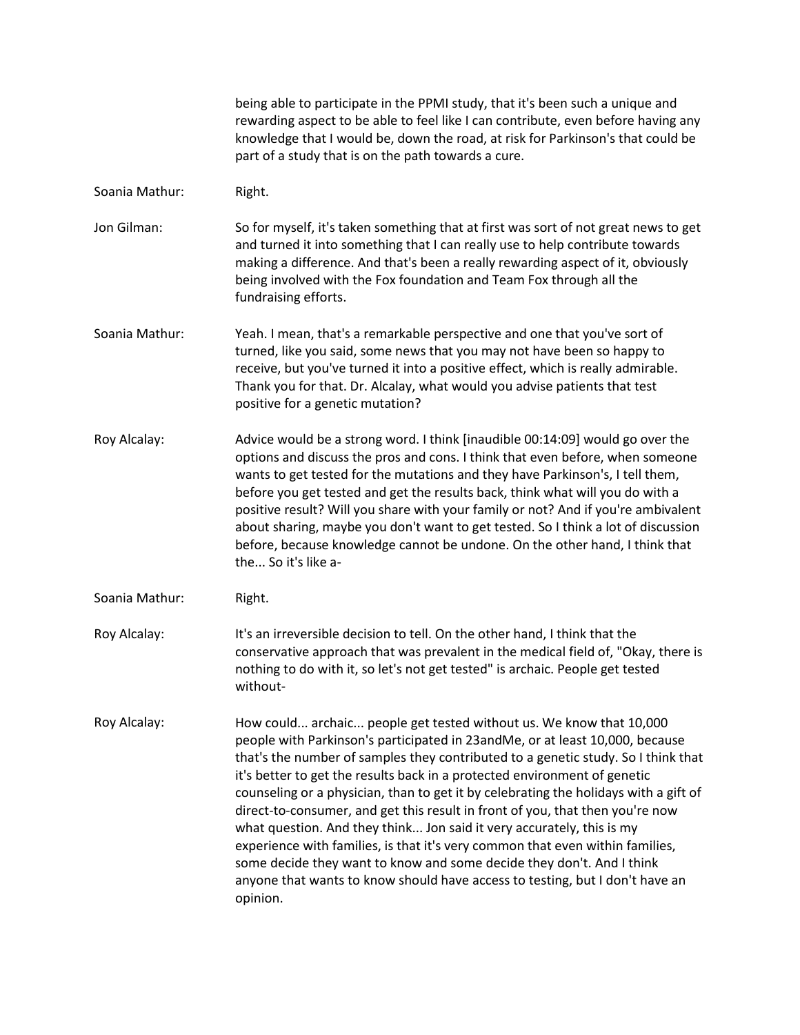being able to participate in the PPMI study, that it's been such a unique and rewarding aspect to be able to feel like I can contribute, even before having any knowledge that I would be, down the road, at risk for Parkinson's that could be part of a study that is on the path towards a cure.

Soania Mathur: Right.

Jon Gilman: So for myself, it's taken something that at first was sort of not great news to get and turned it into something that I can really use to help contribute towards making a difference. And that's been a really rewarding aspect of it, obviously being involved with the Fox foundation and Team Fox through all the fundraising efforts.

- Soania Mathur: Yeah. I mean, that's a remarkable perspective and one that you've sort of turned, like you said, some news that you may not have been so happy to receive, but you've turned it into a positive effect, which is really admirable. Thank you for that. Dr. Alcalay, what would you advise patients that test positive for a genetic mutation?
- Roy Alcalay: Advice would be a strong word. I think [inaudible 00:14:09] would go over the options and discuss the pros and cons. I think that even before, when someone wants to get tested for the mutations and they have Parkinson's, I tell them, before you get tested and get the results back, think what will you do with a positive result? Will you share with your family or not? And if you're ambivalent about sharing, maybe you don't want to get tested. So I think a lot of discussion before, because knowledge cannot be undone. On the other hand, I think that the... So it's like a-
- Soania Mathur: Right.
- Roy Alcalay: It's an irreversible decision to tell. On the other hand, I think that the conservative approach that was prevalent in the medical field of, "Okay, there is nothing to do with it, so let's not get tested" is archaic. People get tested without-
- Roy Alcalay: How could... archaic... people get tested without us. We know that 10,000 people with Parkinson's participated in 23andMe, or at least 10,000, because that's the number of samples they contributed to a genetic study. So I think that it's better to get the results back in a protected environment of genetic counseling or a physician, than to get it by celebrating the holidays with a gift of direct-to-consumer, and get this result in front of you, that then you're now what question. And they think... Jon said it very accurately, this is my experience with families, is that it's very common that even within families, some decide they want to know and some decide they don't. And I think anyone that wants to know should have access to testing, but I don't have an opinion.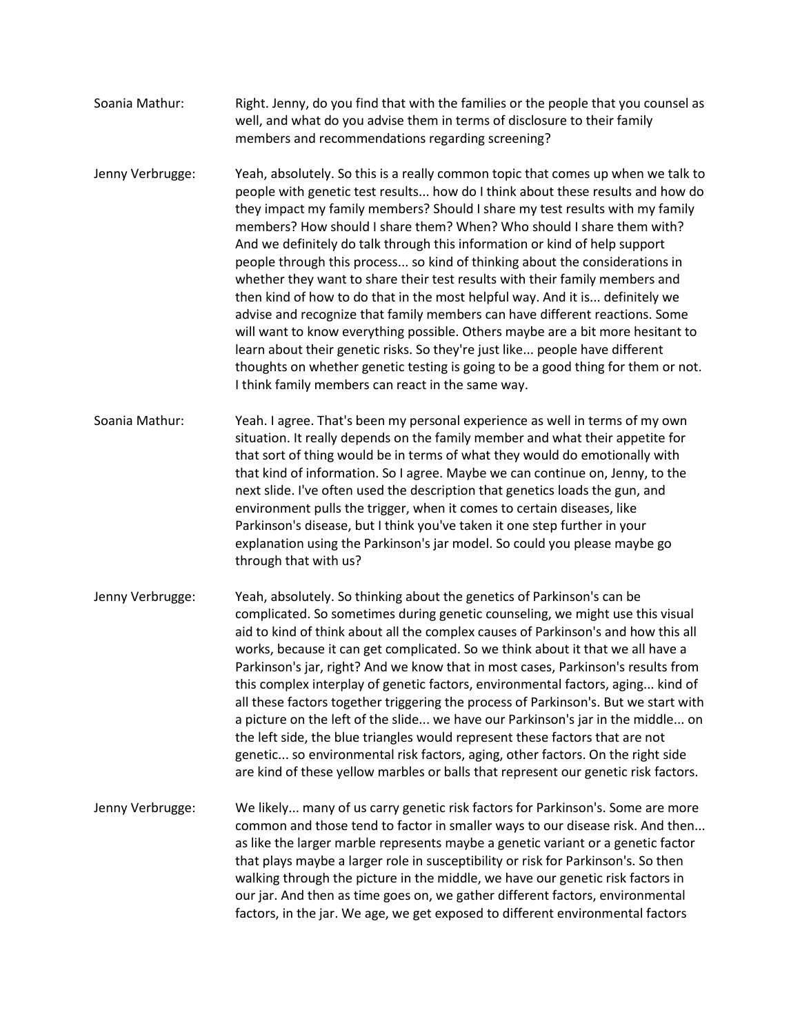- Soania Mathur: Right. Jenny, do you find that with the families or the people that you counsel as well, and what do you advise them in terms of disclosure to their family members and recommendations regarding screening?
- Jenny Verbrugge: Yeah, absolutely. So this is a really common topic that comes up when we talk to people with genetic test results... how do I think about these results and how do they impact my family members? Should I share my test results with my family members? How should I share them? When? Who should I share them with? And we definitely do talk through this information or kind of help support people through this process... so kind of thinking about the considerations in whether they want to share their test results with their family members and then kind of how to do that in the most helpful way. And it is... definitely we advise and recognize that family members can have different reactions. Some will want to know everything possible. Others maybe are a bit more hesitant to learn about their genetic risks. So they're just like... people have different thoughts on whether genetic testing is going to be a good thing for them or not. I think family members can react in the same way.
- Soania Mathur: Yeah. I agree. That's been my personal experience as well in terms of my own situation. It really depends on the family member and what their appetite for that sort of thing would be in terms of what they would do emotionally with that kind of information. So I agree. Maybe we can continue on, Jenny, to the next slide. I've often used the description that genetics loads the gun, and environment pulls the trigger, when it comes to certain diseases, like Parkinson's disease, but I think you've taken it one step further in your explanation using the Parkinson's jar model. So could you please maybe go through that with us?
- Jenny Verbrugge: Yeah, absolutely. So thinking about the genetics of Parkinson's can be complicated. So sometimes during genetic counseling, we might use this visual aid to kind of think about all the complex causes of Parkinson's and how this all works, because it can get complicated. So we think about it that we all have a Parkinson's jar, right? And we know that in most cases, Parkinson's results from this complex interplay of genetic factors, environmental factors, aging... kind of all these factors together triggering the process of Parkinson's. But we start with a picture on the left of the slide... we have our Parkinson's jar in the middle... on the left side, the blue triangles would represent these factors that are not genetic... so environmental risk factors, aging, other factors. On the right side are kind of these yellow marbles or balls that represent our genetic risk factors.
- Jenny Verbrugge: We likely... many of us carry genetic risk factors for Parkinson's. Some are more common and those tend to factor in smaller ways to our disease risk. And then... as like the larger marble represents maybe a genetic variant or a genetic factor that plays maybe a larger role in susceptibility or risk for Parkinson's. So then walking through the picture in the middle, we have our genetic risk factors in our jar. And then as time goes on, we gather different factors, environmental factors, in the jar. We age, we get exposed to different environmental factors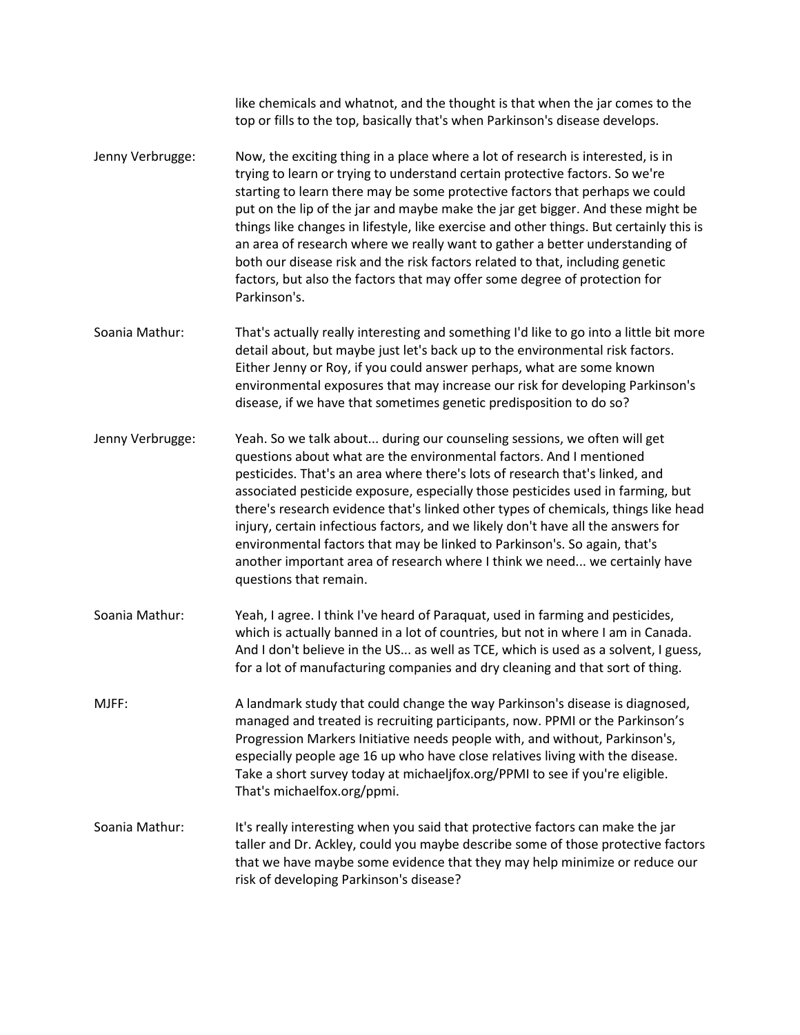like chemicals and whatnot, and the thought is that when the jar comes to the top or fills to the top, basically that's when Parkinson's disease develops. Jenny Verbrugge: Now, the exciting thing in a place where a lot of research is interested, is in trying to learn or trying to understand certain protective factors. So we're starting to learn there may be some protective factors that perhaps we could put on the lip of the jar and maybe make the jar get bigger. And these might be things like changes in lifestyle, like exercise and other things. But certainly this is an area of research where we really want to gather a better understanding of both our disease risk and the risk factors related to that, including genetic factors, but also the factors that may offer some degree of protection for Parkinson's. Soania Mathur: That's actually really interesting and something I'd like to go into a little bit more detail about, but maybe just let's back up to the environmental risk factors. Either Jenny or Roy, if you could answer perhaps, what are some known environmental exposures that may increase our risk for developing Parkinson's disease, if we have that sometimes genetic predisposition to do so?

- Jenny Verbrugge: Yeah. So we talk about... during our counseling sessions, we often will get questions about what are the environmental factors. And I mentioned pesticides. That's an area where there's lots of research that's linked, and associated pesticide exposure, especially those pesticides used in farming, but there's research evidence that's linked other types of chemicals, things like head injury, certain infectious factors, and we likely don't have all the answers for environmental factors that may be linked to Parkinson's. So again, that's another important area of research where I think we need... we certainly have questions that remain.
- Soania Mathur: Yeah, I agree. I think I've heard of Paraquat, used in farming and pesticides, which is actually banned in a lot of countries, but not in where I am in Canada. And I don't believe in the US... as well as TCE, which is used as a solvent, I guess, for a lot of manufacturing companies and dry cleaning and that sort of thing.
- MJFF: A landmark study that could change the way Parkinson's disease is diagnosed, managed and treated is recruiting participants, now. PPMI or the Parkinson's Progression Markers Initiative needs people with, and without, Parkinson's, especially people age 16 up who have close relatives living with the disease. Take a short survey today at michaeljfox.org/PPMI to see if you're eligible. That's michaelfox.org/ppmi.
- Soania Mathur: It's really interesting when you said that protective factors can make the jar taller and Dr. Ackley, could you maybe describe some of those protective factors that we have maybe some evidence that they may help minimize or reduce our risk of developing Parkinson's disease?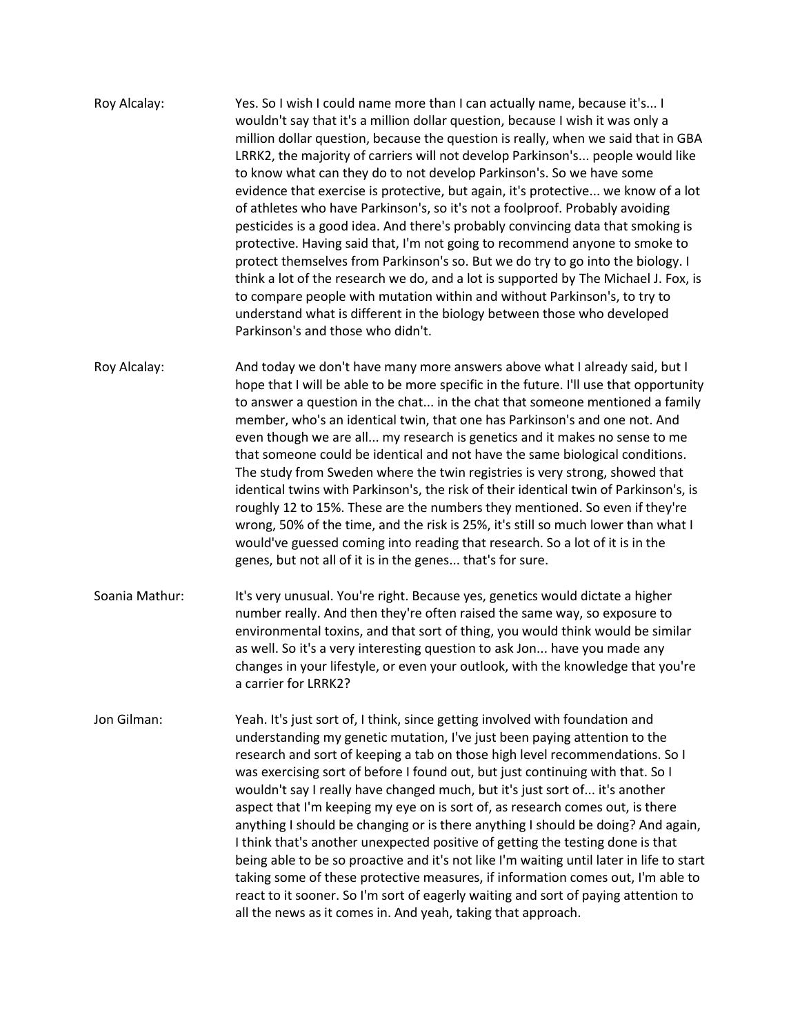- Roy Alcalay: Yes. So I wish I could name more than I can actually name, because it's... I wouldn't say that it's a million dollar question, because I wish it was only a million dollar question, because the question is really, when we said that in GBA LRRK2, the majority of carriers will not develop Parkinson's... people would like to know what can they do to not develop Parkinson's. So we have some evidence that exercise is protective, but again, it's protective... we know of a lot of athletes who have Parkinson's, so it's not a foolproof. Probably avoiding pesticides is a good idea. And there's probably convincing data that smoking is protective. Having said that, I'm not going to recommend anyone to smoke to protect themselves from Parkinson's so. But we do try to go into the biology. I think a lot of the research we do, and a lot is supported by The Michael J. Fox, is to compare people with mutation within and without Parkinson's, to try to understand what is different in the biology between those who developed Parkinson's and those who didn't.
- Roy Alcalay: And today we don't have many more answers above what I already said, but I hope that I will be able to be more specific in the future. I'll use that opportunity to answer a question in the chat... in the chat that someone mentioned a family member, who's an identical twin, that one has Parkinson's and one not. And even though we are all... my research is genetics and it makes no sense to me that someone could be identical and not have the same biological conditions. The study from Sweden where the twin registries is very strong, showed that identical twins with Parkinson's, the risk of their identical twin of Parkinson's, is roughly 12 to 15%. These are the numbers they mentioned. So even if they're wrong, 50% of the time, and the risk is 25%, it's still so much lower than what I would've guessed coming into reading that research. So a lot of it is in the genes, but not all of it is in the genes... that's for sure.
- Soania Mathur: It's very unusual. You're right. Because yes, genetics would dictate a higher number really. And then they're often raised the same way, so exposure to environmental toxins, and that sort of thing, you would think would be similar as well. So it's a very interesting question to ask Jon... have you made any changes in your lifestyle, or even your outlook, with the knowledge that you're a carrier for LRRK2?
- Jon Gilman: Yeah. It's just sort of, I think, since getting involved with foundation and understanding my genetic mutation, I've just been paying attention to the research and sort of keeping a tab on those high level recommendations. So I was exercising sort of before I found out, but just continuing with that. So I wouldn't say I really have changed much, but it's just sort of... it's another aspect that I'm keeping my eye on is sort of, as research comes out, is there anything I should be changing or is there anything I should be doing? And again, I think that's another unexpected positive of getting the testing done is that being able to be so proactive and it's not like I'm waiting until later in life to start taking some of these protective measures, if information comes out, I'm able to react to it sooner. So I'm sort of eagerly waiting and sort of paying attention to all the news as it comes in. And yeah, taking that approach.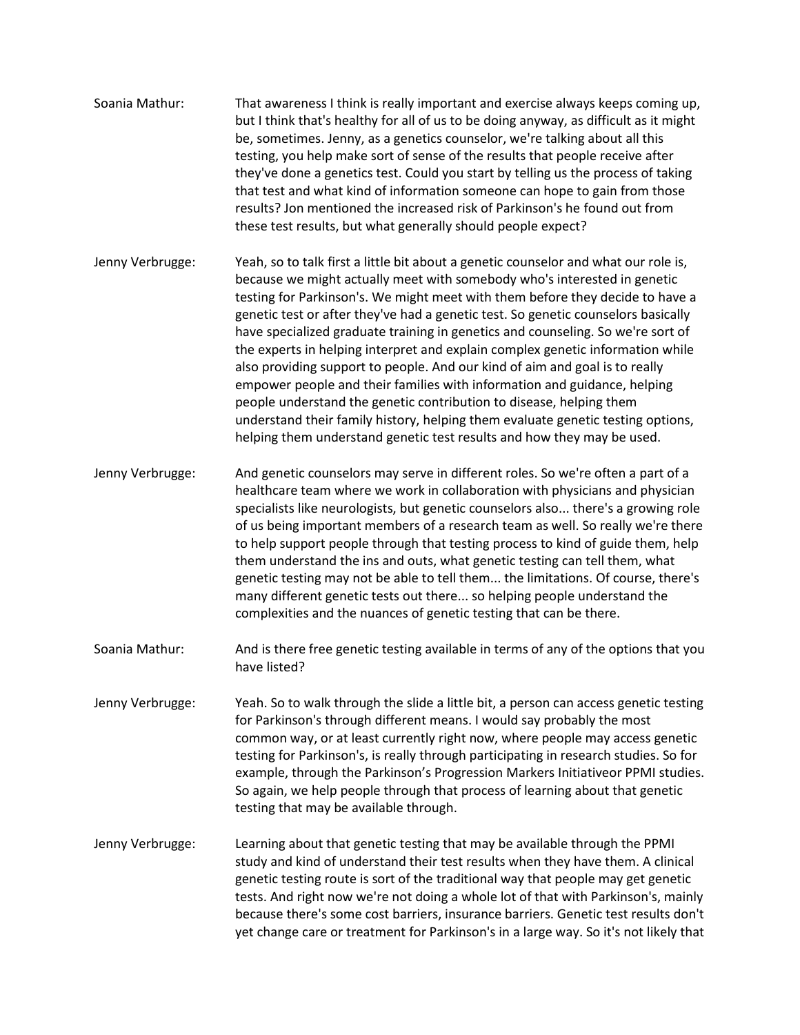- Soania Mathur: That awareness I think is really important and exercise always keeps coming up, but I think that's healthy for all of us to be doing anyway, as difficult as it might be, sometimes. Jenny, as a genetics counselor, we're talking about all this testing, you help make sort of sense of the results that people receive after they've done a genetics test. Could you start by telling us the process of taking that test and what kind of information someone can hope to gain from those results? Jon mentioned the increased risk of Parkinson's he found out from these test results, but what generally should people expect?
- Jenny Verbrugge: Yeah, so to talk first a little bit about a genetic counselor and what our role is, because we might actually meet with somebody who's interested in genetic testing for Parkinson's. We might meet with them before they decide to have a genetic test or after they've had a genetic test. So genetic counselors basically have specialized graduate training in genetics and counseling. So we're sort of the experts in helping interpret and explain complex genetic information while also providing support to people. And our kind of aim and goal is to really empower people and their families with information and guidance, helping people understand the genetic contribution to disease, helping them understand their family history, helping them evaluate genetic testing options, helping them understand genetic test results and how they may be used.
- Jenny Verbrugge: And genetic counselors may serve in different roles. So we're often a part of a healthcare team where we work in collaboration with physicians and physician specialists like neurologists, but genetic counselors also... there's a growing role of us being important members of a research team as well. So really we're there to help support people through that testing process to kind of guide them, help them understand the ins and outs, what genetic testing can tell them, what genetic testing may not be able to tell them... the limitations. Of course, there's many different genetic tests out there... so helping people understand the complexities and the nuances of genetic testing that can be there.
- Soania Mathur: And is there free genetic testing available in terms of any of the options that you have listed?
- Jenny Verbrugge: Yeah. So to walk through the slide a little bit, a person can access genetic testing for Parkinson's through different means. I would say probably the most common way, or at least currently right now, where people may access genetic testing for Parkinson's, is really through participating in research studies. So for example, through the Parkinson's Progression Markers Initiativeor PPMI studies. So again, we help people through that process of learning about that genetic testing that may be available through.
- Jenny Verbrugge: Learning about that genetic testing that may be available through the PPMI study and kind of understand their test results when they have them. A clinical genetic testing route is sort of the traditional way that people may get genetic tests. And right now we're not doing a whole lot of that with Parkinson's, mainly because there's some cost barriers, insurance barriers. Genetic test results don't yet change care or treatment for Parkinson's in a large way. So it's not likely that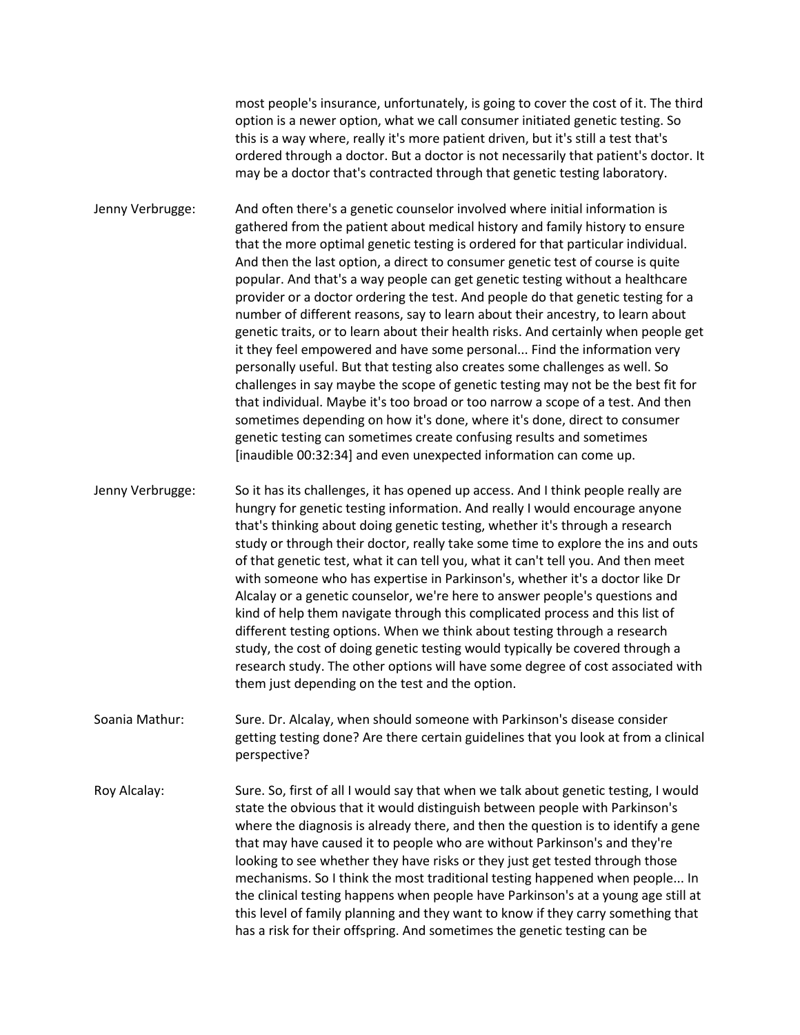most people's insurance, unfortunately, is going to cover the cost of it. The third option is a newer option, what we call consumer initiated genetic testing. So this is a way where, really it's more patient driven, but it's still a test that's ordered through a doctor. But a doctor is not necessarily that patient's doctor. It may be a doctor that's contracted through that genetic testing laboratory.

Jenny Verbrugge: And often there's a genetic counselor involved where initial information is gathered from the patient about medical history and family history to ensure that the more optimal genetic testing is ordered for that particular individual. And then the last option, a direct to consumer genetic test of course is quite popular. And that's a way people can get genetic testing without a healthcare provider or a doctor ordering the test. And people do that genetic testing for a number of different reasons, say to learn about their ancestry, to learn about genetic traits, or to learn about their health risks. And certainly when people get it they feel empowered and have some personal... Find the information very personally useful. But that testing also creates some challenges as well. So challenges in say maybe the scope of genetic testing may not be the best fit for that individual. Maybe it's too broad or too narrow a scope of a test. And then sometimes depending on how it's done, where it's done, direct to consumer genetic testing can sometimes create confusing results and sometimes [inaudible 00:32:34] and even unexpected information can come up.

Jenny Verbrugge: So it has its challenges, it has opened up access. And I think people really are hungry for genetic testing information. And really I would encourage anyone that's thinking about doing genetic testing, whether it's through a research study or through their doctor, really take some time to explore the ins and outs of that genetic test, what it can tell you, what it can't tell you. And then meet with someone who has expertise in Parkinson's, whether it's a doctor like Dr Alcalay or a genetic counselor, we're here to answer people's questions and kind of help them navigate through this complicated process and this list of different testing options. When we think about testing through a research study, the cost of doing genetic testing would typically be covered through a research study. The other options will have some degree of cost associated with them just depending on the test and the option.

Soania Mathur: Sure. Dr. Alcalay, when should someone with Parkinson's disease consider getting testing done? Are there certain guidelines that you look at from a clinical perspective?

Roy Alcalay: Sure. So, first of all I would say that when we talk about genetic testing, I would state the obvious that it would distinguish between people with Parkinson's where the diagnosis is already there, and then the question is to identify a gene that may have caused it to people who are without Parkinson's and they're looking to see whether they have risks or they just get tested through those mechanisms. So I think the most traditional testing happened when people... In the clinical testing happens when people have Parkinson's at a young age still at this level of family planning and they want to know if they carry something that has a risk for their offspring. And sometimes the genetic testing can be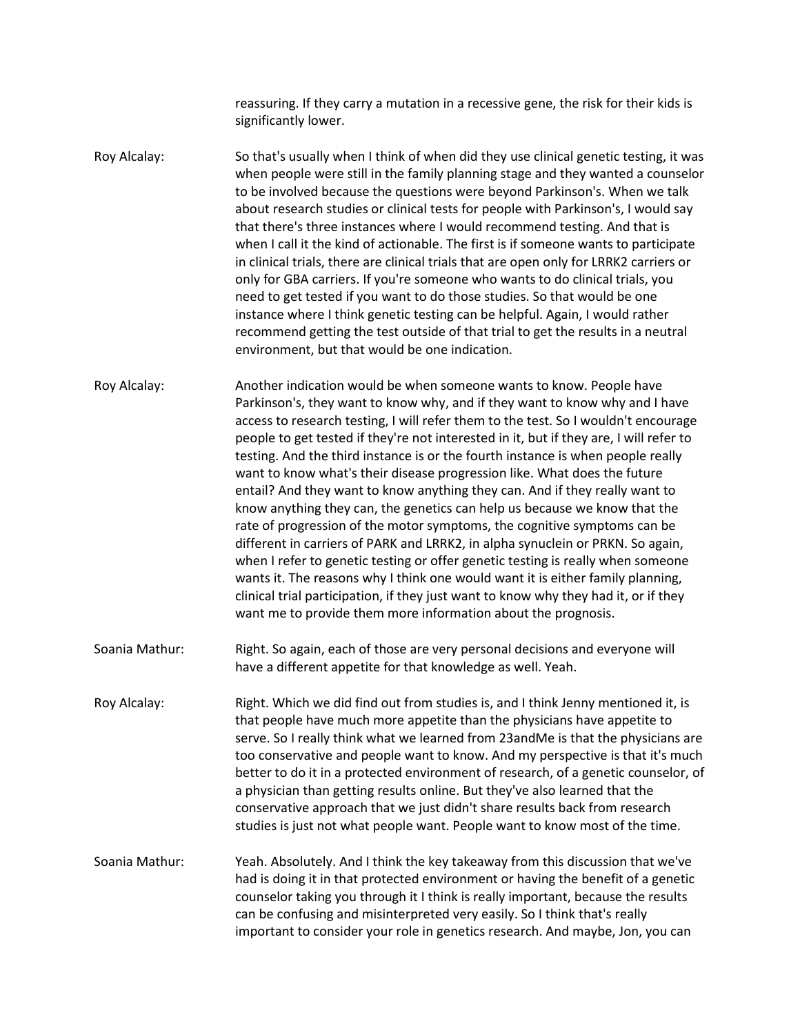reassuring. If they carry a mutation in a recessive gene, the risk for their kids is significantly lower.

Roy Alcalay: So that's usually when I think of when did they use clinical genetic testing, it was when people were still in the family planning stage and they wanted a counselor to be involved because the questions were beyond Parkinson's. When we talk about research studies or clinical tests for people with Parkinson's, I would say that there's three instances where I would recommend testing. And that is when I call it the kind of actionable. The first is if someone wants to participate in clinical trials, there are clinical trials that are open only for LRRK2 carriers or only for GBA carriers. If you're someone who wants to do clinical trials, you need to get tested if you want to do those studies. So that would be one instance where I think genetic testing can be helpful. Again, I would rather recommend getting the test outside of that trial to get the results in a neutral environment, but that would be one indication.

Roy Alcalay: Another indication would be when someone wants to know. People have Parkinson's, they want to know why, and if they want to know why and I have access to research testing, I will refer them to the test. So I wouldn't encourage people to get tested if they're not interested in it, but if they are, I will refer to testing. And the third instance is or the fourth instance is when people really want to know what's their disease progression like. What does the future entail? And they want to know anything they can. And if they really want to know anything they can, the genetics can help us because we know that the rate of progression of the motor symptoms, the cognitive symptoms can be different in carriers of PARK and LRRK2, in alpha synuclein or PRKN. So again, when I refer to genetic testing or offer genetic testing is really when someone wants it. The reasons why I think one would want it is either family planning, clinical trial participation, if they just want to know why they had it, or if they want me to provide them more information about the prognosis.

Soania Mathur: Right. So again, each of those are very personal decisions and everyone will have a different appetite for that knowledge as well. Yeah.

Roy Alcalay: Right. Which we did find out from studies is, and I think Jenny mentioned it, is that people have much more appetite than the physicians have appetite to serve. So I really think what we learned from 23andMe is that the physicians are too conservative and people want to know. And my perspective is that it's much better to do it in a protected environment of research, of a genetic counselor, of a physician than getting results online. But they've also learned that the conservative approach that we just didn't share results back from research studies is just not what people want. People want to know most of the time.

Soania Mathur: Yeah. Absolutely. And I think the key takeaway from this discussion that we've had is doing it in that protected environment or having the benefit of a genetic counselor taking you through it I think is really important, because the results can be confusing and misinterpreted very easily. So I think that's really important to consider your role in genetics research. And maybe, Jon, you can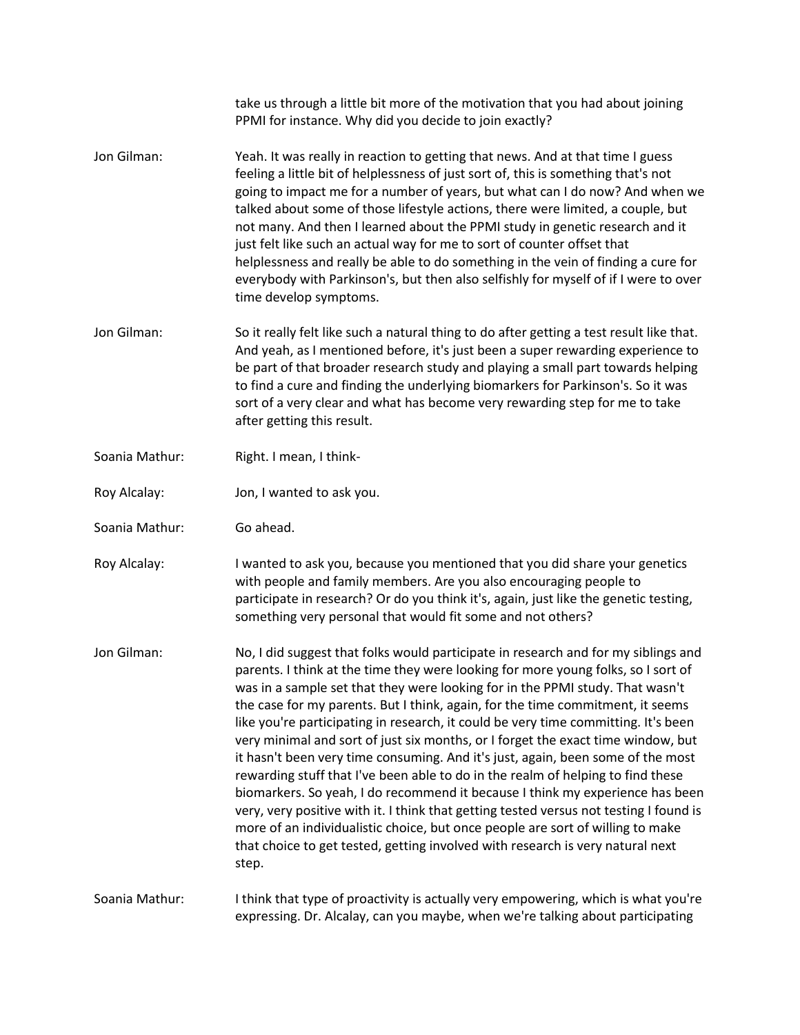|                | take us through a little bit more of the motivation that you had about joining<br>PPMI for instance. Why did you decide to join exactly?                                                                                                                                                                                                                                                                                                                                                                                                                                                                                                                                                                                                                                                                                                                                                                                                                                                                                                           |
|----------------|----------------------------------------------------------------------------------------------------------------------------------------------------------------------------------------------------------------------------------------------------------------------------------------------------------------------------------------------------------------------------------------------------------------------------------------------------------------------------------------------------------------------------------------------------------------------------------------------------------------------------------------------------------------------------------------------------------------------------------------------------------------------------------------------------------------------------------------------------------------------------------------------------------------------------------------------------------------------------------------------------------------------------------------------------|
| Jon Gilman:    | Yeah. It was really in reaction to getting that news. And at that time I guess<br>feeling a little bit of helplessness of just sort of, this is something that's not<br>going to impact me for a number of years, but what can I do now? And when we<br>talked about some of those lifestyle actions, there were limited, a couple, but<br>not many. And then I learned about the PPMI study in genetic research and it<br>just felt like such an actual way for me to sort of counter offset that<br>helplessness and really be able to do something in the vein of finding a cure for<br>everybody with Parkinson's, but then also selfishly for myself of if I were to over<br>time develop symptoms.                                                                                                                                                                                                                                                                                                                                           |
| Jon Gilman:    | So it really felt like such a natural thing to do after getting a test result like that.<br>And yeah, as I mentioned before, it's just been a super rewarding experience to<br>be part of that broader research study and playing a small part towards helping<br>to find a cure and finding the underlying biomarkers for Parkinson's. So it was<br>sort of a very clear and what has become very rewarding step for me to take<br>after getting this result.                                                                                                                                                                                                                                                                                                                                                                                                                                                                                                                                                                                     |
| Soania Mathur: | Right. I mean, I think-                                                                                                                                                                                                                                                                                                                                                                                                                                                                                                                                                                                                                                                                                                                                                                                                                                                                                                                                                                                                                            |
| Roy Alcalay:   | Jon, I wanted to ask you.                                                                                                                                                                                                                                                                                                                                                                                                                                                                                                                                                                                                                                                                                                                                                                                                                                                                                                                                                                                                                          |
| Soania Mathur: | Go ahead.                                                                                                                                                                                                                                                                                                                                                                                                                                                                                                                                                                                                                                                                                                                                                                                                                                                                                                                                                                                                                                          |
| Roy Alcalay:   | I wanted to ask you, because you mentioned that you did share your genetics<br>with people and family members. Are you also encouraging people to<br>participate in research? Or do you think it's, again, just like the genetic testing,<br>something very personal that would fit some and not others?                                                                                                                                                                                                                                                                                                                                                                                                                                                                                                                                                                                                                                                                                                                                           |
| Jon Gilman:    | No, I did suggest that folks would participate in research and for my siblings and<br>parents. I think at the time they were looking for more young folks, so I sort of<br>was in a sample set that they were looking for in the PPMI study. That wasn't<br>the case for my parents. But I think, again, for the time commitment, it seems<br>like you're participating in research, it could be very time committing. It's been<br>very minimal and sort of just six months, or I forget the exact time window, but<br>it hasn't been very time consuming. And it's just, again, been some of the most<br>rewarding stuff that I've been able to do in the realm of helping to find these<br>biomarkers. So yeah, I do recommend it because I think my experience has been<br>very, very positive with it. I think that getting tested versus not testing I found is<br>more of an individualistic choice, but once people are sort of willing to make<br>that choice to get tested, getting involved with research is very natural next<br>step. |
| Soania Mathur: | I think that type of proactivity is actually very empowering, which is what you're<br>expressing. Dr. Alcalay, can you maybe, when we're talking about participating                                                                                                                                                                                                                                                                                                                                                                                                                                                                                                                                                                                                                                                                                                                                                                                                                                                                               |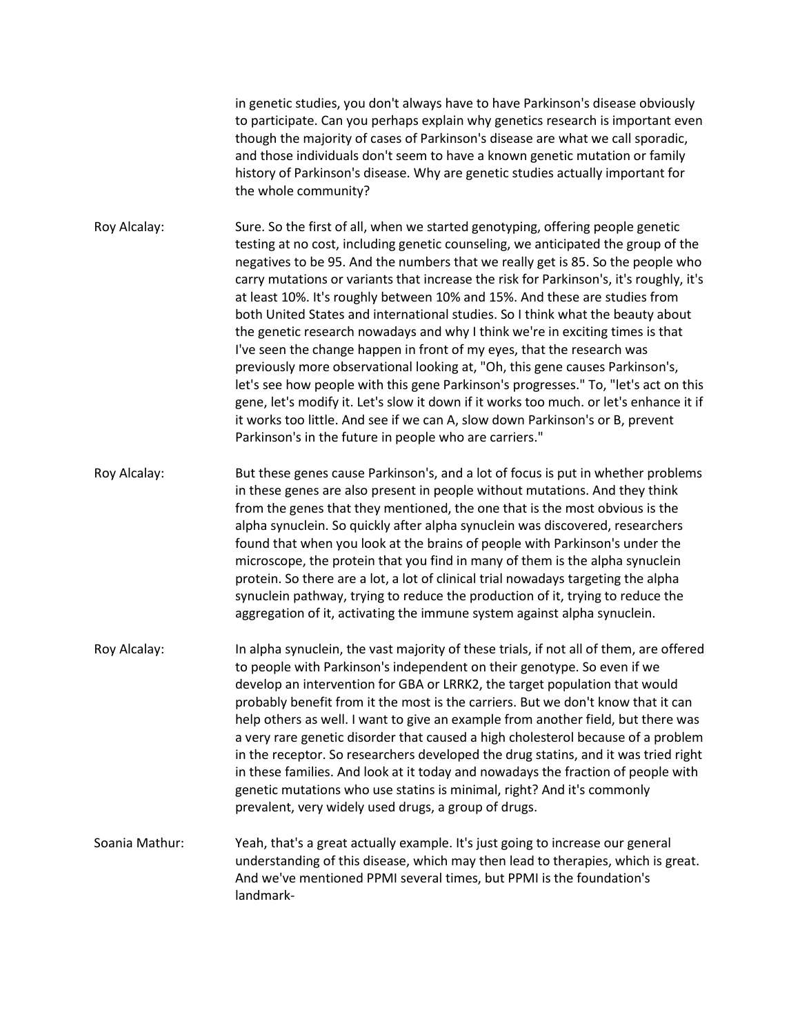in genetic studies, you don't always have to have Parkinson's disease obviously to participate. Can you perhaps explain why genetics research is important even though the majority of cases of Parkinson's disease are what we call sporadic, and those individuals don't seem to have a known genetic mutation or family history of Parkinson's disease. Why are genetic studies actually important for the whole community?

Roy Alcalay: Sure. So the first of all, when we started genotyping, offering people genetic testing at no cost, including genetic counseling, we anticipated the group of the negatives to be 95. And the numbers that we really get is 85. So the people who carry mutations or variants that increase the risk for Parkinson's, it's roughly, it's at least 10%. It's roughly between 10% and 15%. And these are studies from both United States and international studies. So I think what the beauty about the genetic research nowadays and why I think we're in exciting times is that I've seen the change happen in front of my eyes, that the research was previously more observational looking at, "Oh, this gene causes Parkinson's, let's see how people with this gene Parkinson's progresses." To, "let's act on this gene, let's modify it. Let's slow it down if it works too much. or let's enhance it if it works too little. And see if we can A, slow down Parkinson's or B, prevent Parkinson's in the future in people who are carriers."

Roy Alcalay: But these genes cause Parkinson's, and a lot of focus is put in whether problems in these genes are also present in people without mutations. And they think from the genes that they mentioned, the one that is the most obvious is the alpha synuclein. So quickly after alpha synuclein was discovered, researchers found that when you look at the brains of people with Parkinson's under the microscope, the protein that you find in many of them is the alpha synuclein protein. So there are a lot, a lot of clinical trial nowadays targeting the alpha synuclein pathway, trying to reduce the production of it, trying to reduce the aggregation of it, activating the immune system against alpha synuclein.

- Roy Alcalay: In alpha synuclein, the vast majority of these trials, if not all of them, are offered to people with Parkinson's independent on their genotype. So even if we develop an intervention for GBA or LRRK2, the target population that would probably benefit from it the most is the carriers. But we don't know that it can help others as well. I want to give an example from another field, but there was a very rare genetic disorder that caused a high cholesterol because of a problem in the receptor. So researchers developed the drug statins, and it was tried right in these families. And look at it today and nowadays the fraction of people with genetic mutations who use statins is minimal, right? And it's commonly prevalent, very widely used drugs, a group of drugs.
- Soania Mathur: Yeah, that's a great actually example. It's just going to increase our general understanding of this disease, which may then lead to therapies, which is great. And we've mentioned PPMI several times, but PPMI is the foundation's landmark-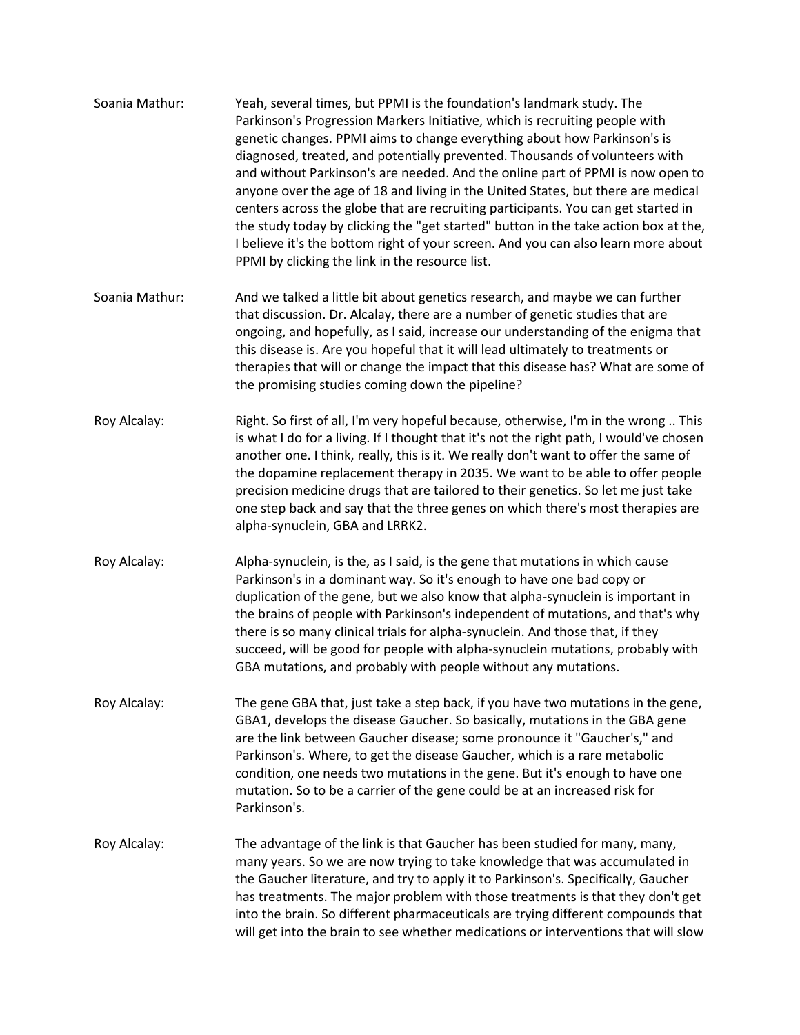| Soania Mathur: | Yeah, several times, but PPMI is the foundation's landmark study. The<br>Parkinson's Progression Markers Initiative, which is recruiting people with<br>genetic changes. PPMI aims to change everything about how Parkinson's is<br>diagnosed, treated, and potentially prevented. Thousands of volunteers with<br>and without Parkinson's are needed. And the online part of PPMI is now open to<br>anyone over the age of 18 and living in the United States, but there are medical<br>centers across the globe that are recruiting participants. You can get started in<br>the study today by clicking the "get started" button in the take action box at the,<br>I believe it's the bottom right of your screen. And you can also learn more about<br>PPMI by clicking the link in the resource list. |
|----------------|-----------------------------------------------------------------------------------------------------------------------------------------------------------------------------------------------------------------------------------------------------------------------------------------------------------------------------------------------------------------------------------------------------------------------------------------------------------------------------------------------------------------------------------------------------------------------------------------------------------------------------------------------------------------------------------------------------------------------------------------------------------------------------------------------------------|
| Soania Mathur: | And we talked a little bit about genetics research, and maybe we can further<br>that discussion. Dr. Alcalay, there are a number of genetic studies that are<br>ongoing, and hopefully, as I said, increase our understanding of the enigma that<br>this disease is. Are you hopeful that it will lead ultimately to treatments or<br>therapies that will or change the impact that this disease has? What are some of<br>the promising studies coming down the pipeline?                                                                                                                                                                                                                                                                                                                                 |
| Roy Alcalay:   | Right. So first of all, I'm very hopeful because, otherwise, I'm in the wrong  This<br>is what I do for a living. If I thought that it's not the right path, I would've chosen<br>another one. I think, really, this is it. We really don't want to offer the same of<br>the dopamine replacement therapy in 2035. We want to be able to offer people<br>precision medicine drugs that are tailored to their genetics. So let me just take<br>one step back and say that the three genes on which there's most therapies are<br>alpha-synuclein, GBA and LRRK2.                                                                                                                                                                                                                                           |
| Roy Alcalay:   | Alpha-synuclein, is the, as I said, is the gene that mutations in which cause<br>Parkinson's in a dominant way. So it's enough to have one bad copy or<br>duplication of the gene, but we also know that alpha-synuclein is important in<br>the brains of people with Parkinson's independent of mutations, and that's why<br>there is so many clinical trials for alpha-synuclein. And those that, if they<br>succeed, will be good for people with alpha-synuclein mutations, probably with<br>GBA mutations, and probably with people without any mutations.                                                                                                                                                                                                                                           |
| Roy Alcalay:   | The gene GBA that, just take a step back, if you have two mutations in the gene,<br>GBA1, develops the disease Gaucher. So basically, mutations in the GBA gene<br>are the link between Gaucher disease; some pronounce it "Gaucher's," and<br>Parkinson's. Where, to get the disease Gaucher, which is a rare metabolic<br>condition, one needs two mutations in the gene. But it's enough to have one<br>mutation. So to be a carrier of the gene could be at an increased risk for<br>Parkinson's.                                                                                                                                                                                                                                                                                                     |
| Roy Alcalay:   | The advantage of the link is that Gaucher has been studied for many, many,<br>many years. So we are now trying to take knowledge that was accumulated in<br>the Gaucher literature, and try to apply it to Parkinson's. Specifically, Gaucher<br>has treatments. The major problem with those treatments is that they don't get<br>into the brain. So different pharmaceuticals are trying different compounds that<br>will get into the brain to see whether medications or interventions that will slow                                                                                                                                                                                                                                                                                                 |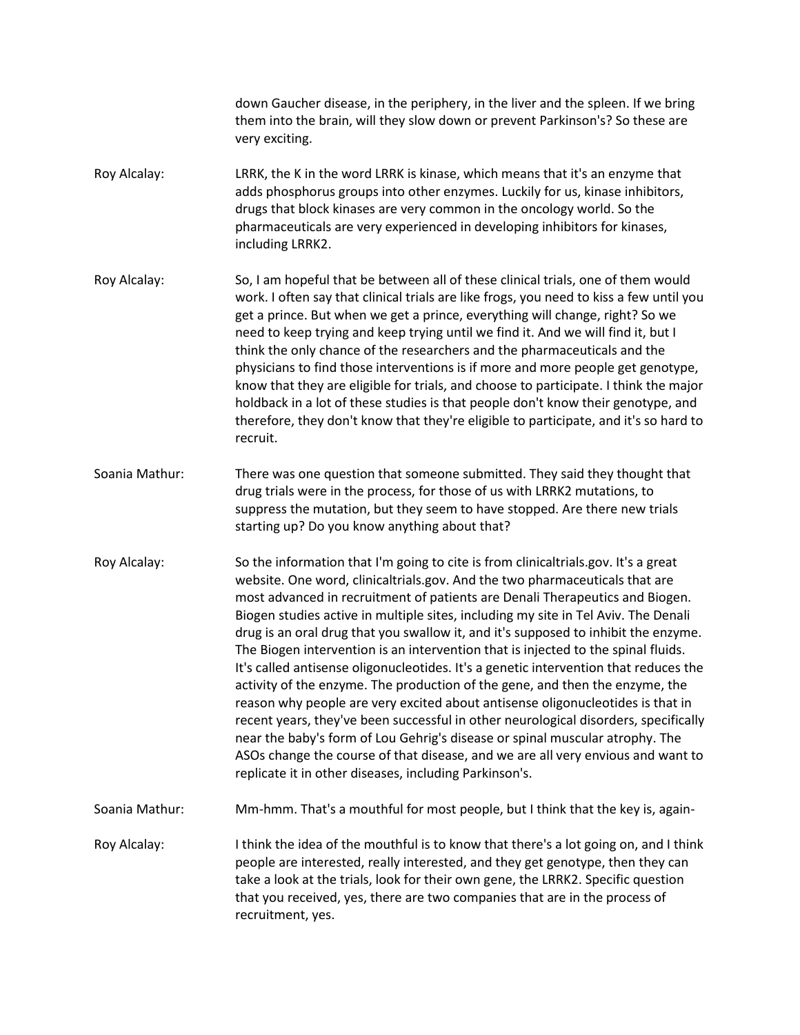down Gaucher disease, in the periphery, in the liver and the spleen. If we bring them into the brain, will they slow down or prevent Parkinson's? So these are very exciting.

- Roy Alcalay: LRRK, the K in the word LRRK is kinase, which means that it's an enzyme that adds phosphorus groups into other enzymes. Luckily for us, kinase inhibitors, drugs that block kinases are very common in the oncology world. So the pharmaceuticals are very experienced in developing inhibitors for kinases, including LRRK2.
- Roy Alcalay: So, I am hopeful that be between all of these clinical trials, one of them would work. I often say that clinical trials are like frogs, you need to kiss a few until you get a prince. But when we get a prince, everything will change, right? So we need to keep trying and keep trying until we find it. And we will find it, but I think the only chance of the researchers and the pharmaceuticals and the physicians to find those interventions is if more and more people get genotype, know that they are eligible for trials, and choose to participate. I think the major holdback in a lot of these studies is that people don't know their genotype, and therefore, they don't know that they're eligible to participate, and it's so hard to recruit.
- Soania Mathur: There was one question that someone submitted. They said they thought that drug trials were in the process, for those of us with LRRK2 mutations, to suppress the mutation, but they seem to have stopped. Are there new trials starting up? Do you know anything about that?
- Roy Alcalay: So the information that I'm going to cite is from clinicaltrials.gov. It's a great website. One word, clinicaltrials.gov. And the two pharmaceuticals that are most advanced in recruitment of patients are Denali Therapeutics and Biogen. Biogen studies active in multiple sites, including my site in Tel Aviv. The Denali drug is an oral drug that you swallow it, and it's supposed to inhibit the enzyme. The Biogen intervention is an intervention that is injected to the spinal fluids. It's called antisense oligonucleotides. It's a genetic intervention that reduces the activity of the enzyme. The production of the gene, and then the enzyme, the reason why people are very excited about antisense oligonucleotides is that in recent years, they've been successful in other neurological disorders, specifically near the baby's form of Lou Gehrig's disease or spinal muscular atrophy. The ASOs change the course of that disease, and we are all very envious and want to replicate it in other diseases, including Parkinson's.
- Soania Mathur: Mm-hmm. That's a mouthful for most people, but I think that the key is, again-
- Roy Alcalay: I think the idea of the mouthful is to know that there's a lot going on, and I think people are interested, really interested, and they get genotype, then they can take a look at the trials, look for their own gene, the LRRK2. Specific question that you received, yes, there are two companies that are in the process of recruitment, yes.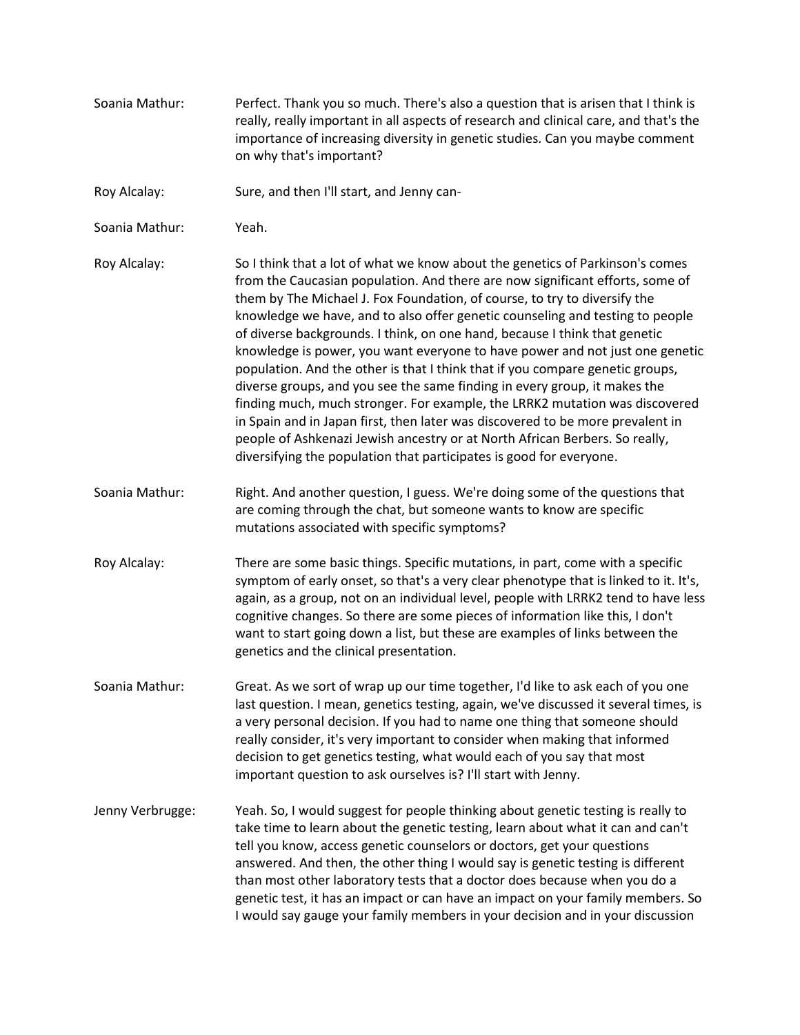- Soania Mathur: Perfect. Thank you so much. There's also a question that is arisen that I think is really, really important in all aspects of research and clinical care, and that's the importance of increasing diversity in genetic studies. Can you maybe comment on why that's important?
- Roy Alcalay: Sure, and then I'll start, and Jenny can-
- Soania Mathur: Yeah.
- Roy Alcalay: So I think that a lot of what we know about the genetics of Parkinson's comes from the Caucasian population. And there are now significant efforts, some of them by The Michael J. Fox Foundation, of course, to try to diversify the knowledge we have, and to also offer genetic counseling and testing to people of diverse backgrounds. I think, on one hand, because I think that genetic knowledge is power, you want everyone to have power and not just one genetic population. And the other is that I think that if you compare genetic groups, diverse groups, and you see the same finding in every group, it makes the finding much, much stronger. For example, the LRRK2 mutation was discovered in Spain and in Japan first, then later was discovered to be more prevalent in people of Ashkenazi Jewish ancestry or at North African Berbers. So really, diversifying the population that participates is good for everyone.
- Soania Mathur: Right. And another question, I guess. We're doing some of the questions that are coming through the chat, but someone wants to know are specific mutations associated with specific symptoms?
- Roy Alcalay: There are some basic things. Specific mutations, in part, come with a specific symptom of early onset, so that's a very clear phenotype that is linked to it. It's, again, as a group, not on an individual level, people with LRRK2 tend to have less cognitive changes. So there are some pieces of information like this, I don't want to start going down a list, but these are examples of links between the genetics and the clinical presentation.
- Soania Mathur: Great. As we sort of wrap up our time together, I'd like to ask each of you one last question. I mean, genetics testing, again, we've discussed it several times, is a very personal decision. If you had to name one thing that someone should really consider, it's very important to consider when making that informed decision to get genetics testing, what would each of you say that most important question to ask ourselves is? I'll start with Jenny.
- Jenny Verbrugge: Yeah. So, I would suggest for people thinking about genetic testing is really to take time to learn about the genetic testing, learn about what it can and can't tell you know, access genetic counselors or doctors, get your questions answered. And then, the other thing I would say is genetic testing is different than most other laboratory tests that a doctor does because when you do a genetic test, it has an impact or can have an impact on your family members. So I would say gauge your family members in your decision and in your discussion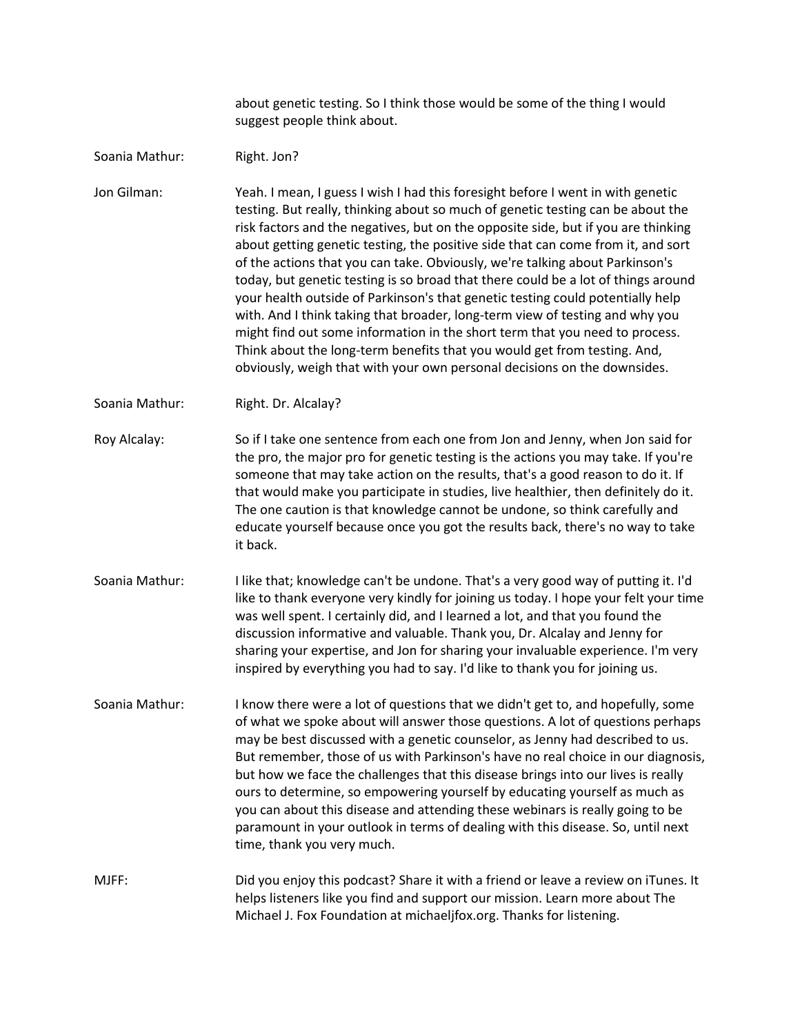about genetic testing. So I think those would be some of the thing I would suggest people think about.

Soania Mathur: Right. Jon?

Jon Gilman: Yeah. I mean, I guess I wish I had this foresight before I went in with genetic testing. But really, thinking about so much of genetic testing can be about the risk factors and the negatives, but on the opposite side, but if you are thinking about getting genetic testing, the positive side that can come from it, and sort of the actions that you can take. Obviously, we're talking about Parkinson's today, but genetic testing is so broad that there could be a lot of things around your health outside of Parkinson's that genetic testing could potentially help with. And I think taking that broader, long-term view of testing and why you might find out some information in the short term that you need to process. Think about the long-term benefits that you would get from testing. And, obviously, weigh that with your own personal decisions on the downsides.

Soania Mathur: Right. Dr. Alcalay?

Roy Alcalay: So if I take one sentence from each one from Jon and Jenny, when Jon said for the pro, the major pro for genetic testing is the actions you may take. If you're someone that may take action on the results, that's a good reason to do it. If that would make you participate in studies, live healthier, then definitely do it. The one caution is that knowledge cannot be undone, so think carefully and educate yourself because once you got the results back, there's no way to take it back.

- Soania Mathur: I like that; knowledge can't be undone. That's a very good way of putting it. I'd like to thank everyone very kindly for joining us today. I hope your felt your time was well spent. I certainly did, and I learned a lot, and that you found the discussion informative and valuable. Thank you, Dr. Alcalay and Jenny for sharing your expertise, and Jon for sharing your invaluable experience. I'm very inspired by everything you had to say. I'd like to thank you for joining us.
- Soania Mathur: I know there were a lot of questions that we didn't get to, and hopefully, some of what we spoke about will answer those questions. A lot of questions perhaps may be best discussed with a genetic counselor, as Jenny had described to us. But remember, those of us with Parkinson's have no real choice in our diagnosis, but how we face the challenges that this disease brings into our lives is really ours to determine, so empowering yourself by educating yourself as much as you can about this disease and attending these webinars is really going to be paramount in your outlook in terms of dealing with this disease. So, until next time, thank you very much.

MJFF: Did you enjoy this podcast? Share it with a friend or leave a review on iTunes. It helps listeners like you find and support our mission. Learn more about The Michael J. Fox Foundation at michaeljfox.org. Thanks for listening.